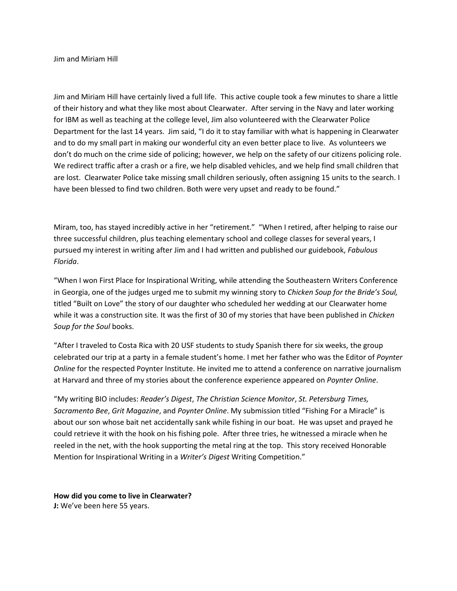Jim and Miriam Hill

Jim and Miriam Hill have certainly lived a full life. This active couple took a few minutes to share a little of their history and what they like most about Clearwater. After serving in the Navy and later working for IBM as well as teaching at the college level, Jim also volunteered with the Clearwater Police Department for the last 14 years. Jim said, "I do it to stay familiar with what is happening in Clearwater and to do my small part in making our wonderful city an even better place to live. As volunteers we don't do much on the crime side of policing; however, we help on the safety of our citizens policing role. We redirect traffic after a crash or a fire, we help disabled vehicles, and we help find small children that are lost. Clearwater Police take missing small children seriously, often assigning 15 units to the search. I have been blessed to find two children. Both were very upset and ready to be found."

Miram, too, has stayed incredibly active in her "retirement." "When I retired, after helping to raise our three successful children, plus teaching elementary school and college classes for several years, I pursued my interest in writing after Jim and I had written and published our guidebook, *Fabulous Florida*.

"When I won First Place for Inspirational Writing, while attending the Southeastern Writers Conference in Georgia, one of the judges urged me to submit my winning story to *Chicken Soup for the Bride's Soul,*  titled "Built on Love" the story of our daughter who scheduled her wedding at our Clearwater home while it was a construction site*.* It was the first of 30 of my stories that have been published in *Chicken Soup for the Soul* books.

"After I traveled to Costa Rica with 20 USF students to study Spanish there for six weeks, the group celebrated our trip at a party in a female student's home. I met her father who was the Editor of *Poynter Online* for the respected Poynter Institute. He invited me to attend a conference on narrative journalism at Harvard and three of my stories about the conference experience appeared on *Poynter Online*.

"My writing BIO includes: *Reader's Digest*, *The Christian Science Monitor*, *St. Petersburg Times, Sacramento Bee*, *Grit Magazine*, and *Poynter Online*. My submission titled "Fishing For a Miracle" is about our son whose bait net accidentally sank while fishing in our boat. He was upset and prayed he could retrieve it with the hook on his fishing pole. After three tries, he witnessed a miracle when he reeled in the net, with the hook supporting the metal ring at the top. This story received Honorable Mention for Inspirational Writing in a *Writer's Digest* Writing Competition."

**How did you come to live in Clearwater? J:** We've been here 55 years.